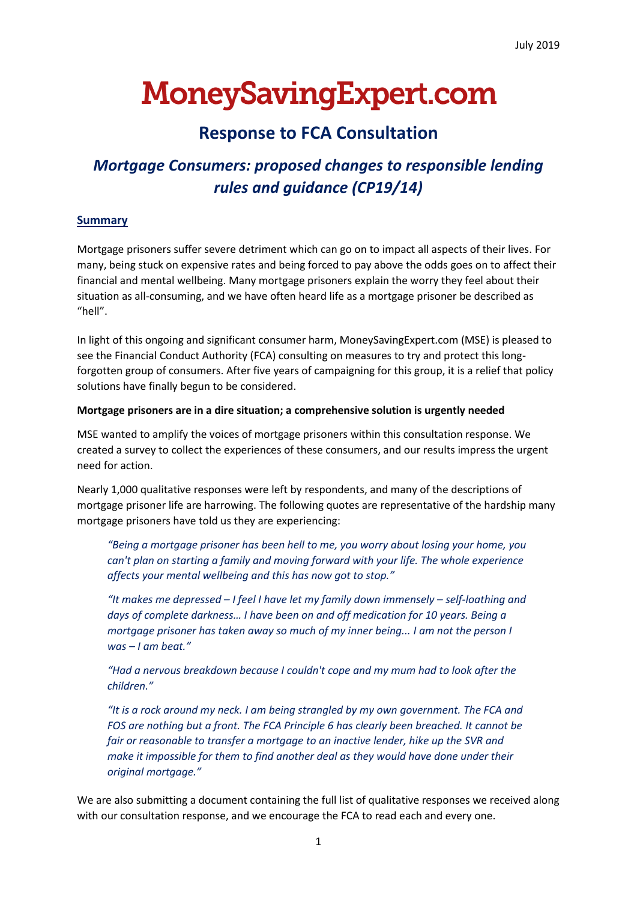# **MoneySavingExpert.com**

# **Response to FCA Consultation**

# *Mortgage Consumers: proposed changes to responsible lending rules and guidance (CP19/14)*

# **Summary**

Mortgage prisoners suffer severe detriment which can go on to impact all aspects of their lives. For many, being stuck on expensive rates and being forced to pay above the odds goes on to affect their financial and mental wellbeing. Many mortgage prisoners explain the worry they feel about their situation as all-consuming, and we have often heard life as a mortgage prisoner be described as "hell".

In light of this ongoing and significant consumer harm, MoneySavingExpert.com (MSE) is pleased to see the Financial Conduct Authority (FCA) consulting on measures to try and protect this longforgotten group of consumers. After five years of campaigning for this group, it is a relief that policy solutions have finally begun to be considered.

# **Mortgage prisoners are in a dire situation; a comprehensive solution is urgently needed**

MSE wanted to amplify the voices of mortgage prisoners within this consultation response. We created a survey to collect the experiences of these consumers, and our results impress the urgent need for action.

Nearly 1,000 qualitative responses were left by respondents, and many of the descriptions of mortgage prisoner life are harrowing. The following quotes are representative of the hardship many mortgage prisoners have told us they are experiencing:

*"Being a mortgage prisoner has been hell to me, you worry about losing your home, you can't plan on starting a family and moving forward with your life. The whole experience affects your mental wellbeing and this has now got to stop."*

*"It makes me depressed – I feel I have let my family down immensely – self-loathing and days of complete darkness… I have been on and off medication for 10 years. Being a mortgage prisoner has taken away so much of my inner being... I am not the person I was – I am beat."*

*"Had a nervous breakdown because I couldn't cope and my mum had to look after the children."*

*"It is a rock around my neck. I am being strangled by my own government. The FCA and FOS are nothing but a front. The FCA Principle 6 has clearly been breached. It cannot be fair or reasonable to transfer a mortgage to an inactive lender, hike up the SVR and make it impossible for them to find another deal as they would have done under their original mortgage."*

We are also submitting a document containing the full list of qualitative responses we received along with our consultation response, and we encourage the FCA to read each and every one.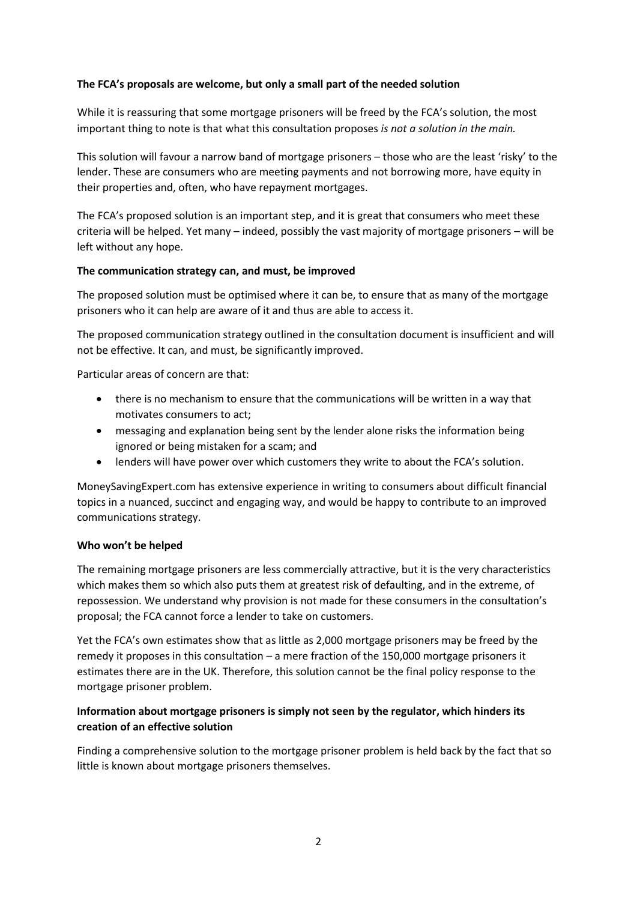## **The FCA's proposals are welcome, but only a small part of the needed solution**

While it is reassuring that some mortgage prisoners will be freed by the FCA's solution, the most important thing to note is that what this consultation proposes *is not a solution in the main.* 

This solution will favour a narrow band of mortgage prisoners – those who are the least 'risky' to the lender. These are consumers who are meeting payments and not borrowing more, have equity in their properties and, often, who have repayment mortgages.

The FCA's proposed solution is an important step, and it is great that consumers who meet these criteria will be helped. Yet many – indeed, possibly the vast majority of mortgage prisoners – will be left without any hope.

#### **The communication strategy can, and must, be improved**

The proposed solution must be optimised where it can be, to ensure that as many of the mortgage prisoners who it can help are aware of it and thus are able to access it.

The proposed communication strategy outlined in the consultation document is insufficient and will not be effective. It can, and must, be significantly improved.

Particular areas of concern are that:

- there is no mechanism to ensure that the communications will be written in a way that motivates consumers to act;
- messaging and explanation being sent by the lender alone risks the information being ignored or being mistaken for a scam; and
- lenders will have power over which customers they write to about the FCA's solution.

MoneySavingExpert.com has extensive experience in writing to consumers about difficult financial topics in a nuanced, succinct and engaging way, and would be happy to contribute to an improved communications strategy.

#### **Who won't be helped**

The remaining mortgage prisoners are less commercially attractive, but it is the very characteristics which makes them so which also puts them at greatest risk of defaulting, and in the extreme, of repossession. We understand why provision is not made for these consumers in the consultation's proposal; the FCA cannot force a lender to take on customers.

Yet the FCA's own estimates show that as little as 2,000 mortgage prisoners may be freed by the remedy it proposes in this consultation – a mere fraction of the 150,000 mortgage prisoners it estimates there are in the UK. Therefore, this solution cannot be the final policy response to the mortgage prisoner problem.

# **Information about mortgage prisoners is simply not seen by the regulator, which hinders its creation of an effective solution**

Finding a comprehensive solution to the mortgage prisoner problem is held back by the fact that so little is known about mortgage prisoners themselves.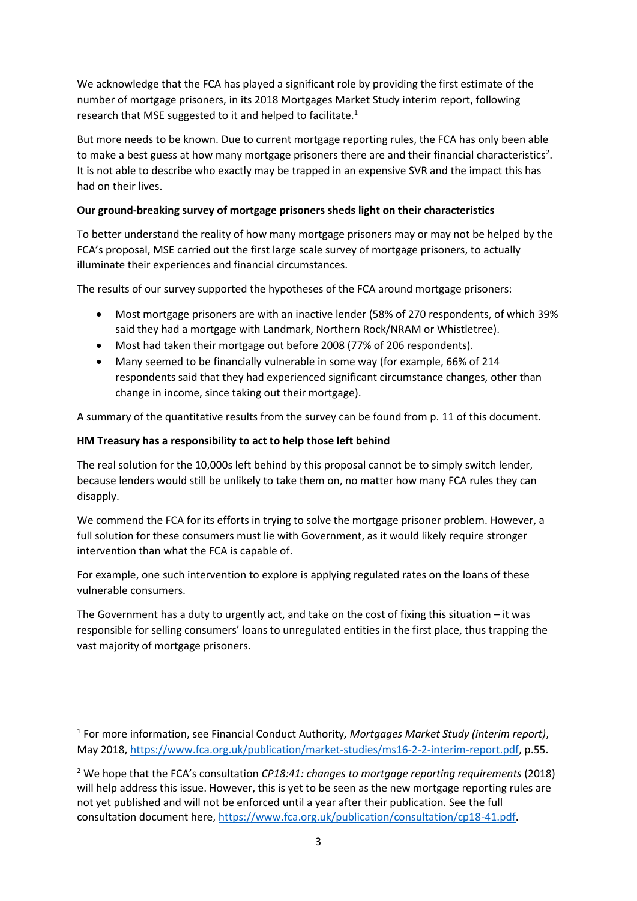We acknowledge that the FCA has played a significant role by providing the first estimate of the number of mortgage prisoners, in its 2018 Mortgages Market Study interim report, following research that MSE suggested to it and helped to facilitate.<sup>1</sup>

But more needs to be known. Due to current mortgage reporting rules, the FCA has only been able to make a best guess at how many mortgage prisoners there are and their financial characteristics<sup>2</sup>. It is not able to describe who exactly may be trapped in an expensive SVR and the impact this has had on their lives.

# **Our ground-breaking survey of mortgage prisoners sheds light on their characteristics**

To better understand the reality of how many mortgage prisoners may or may not be helped by the FCA's proposal, MSE carried out the first large scale survey of mortgage prisoners, to actually illuminate their experiences and financial circumstances.

The results of our survey supported the hypotheses of the FCA around mortgage prisoners:

- Most mortgage prisoners are with an inactive lender (58% of 270 respondents, of which 39% said they had a mortgage with Landmark, Northern Rock/NRAM or Whistletree).
- Most had taken their mortgage out before 2008 (77% of 206 respondents).
- Many seemed to be financially vulnerable in some way (for example, 66% of 214 respondents said that they had experienced significant circumstance changes, other than change in income, since taking out their mortgage).

A summary of the quantitative results from the survey can be found from p. 11 of this document.

# **HM Treasury has a responsibility to act to help those left behind**

**.** 

The real solution for the 10,000s left behind by this proposal cannot be to simply switch lender, because lenders would still be unlikely to take them on, no matter how many FCA rules they can disapply.

We commend the FCA for its efforts in trying to solve the mortgage prisoner problem. However, a full solution for these consumers must lie with Government, as it would likely require stronger intervention than what the FCA is capable of.

For example, one such intervention to explore is applying regulated rates on the loans of these vulnerable consumers.

The Government has a duty to urgently act, and take on the cost of fixing this situation – it was responsible for selling consumers' loans to unregulated entities in the first place, thus trapping the vast majority of mortgage prisoners.

<sup>1</sup> For more information, see Financial Conduct Authority*, Mortgages Market Study (interim report)*, May 2018, [https://www.fca.org.uk/publication/market-studies/ms16-2-2-interim-report.pdf,](https://www.fca.org.uk/publication/market-studies/ms16-2-2-interim-report.pdf) p.55.

<sup>2</sup> We hope that the FCA's consultation *CP18:41: changes to mortgage reporting requirements* (2018) will help address this issue. However, this is yet to be seen as the new mortgage reporting rules are not yet published and will not be enforced until a year after their publication. See the full consultation document here, [https://www.fca.org.uk/publication/consultation/cp18-41.pdf.](https://www.fca.org.uk/publication/consultation/cp18-41.pdf)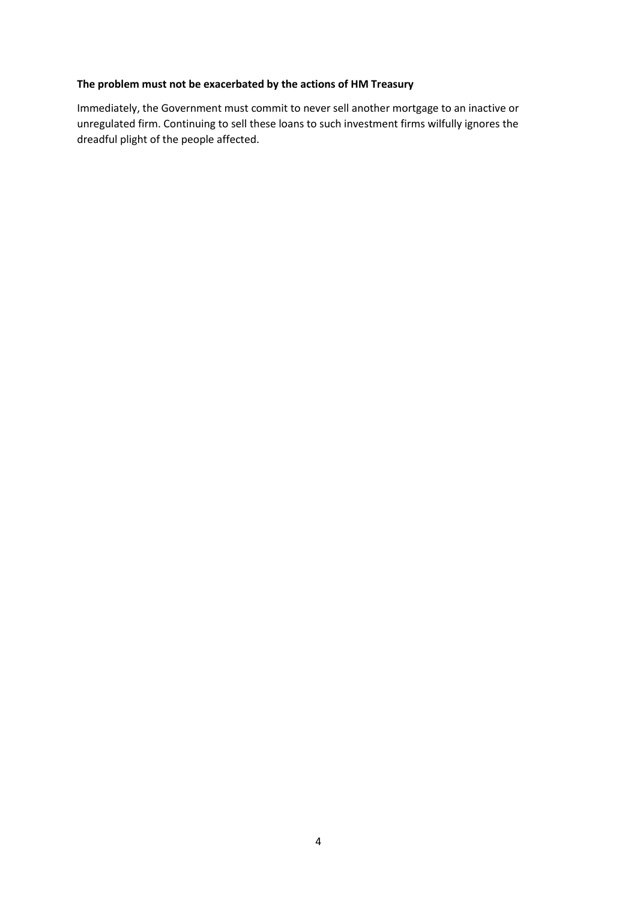# **The problem must not be exacerbated by the actions of HM Treasury**

Immediately, the Government must commit to never sell another mortgage to an inactive or unregulated firm. Continuing to sell these loans to such investment firms wilfully ignores the dreadful plight of the people affected.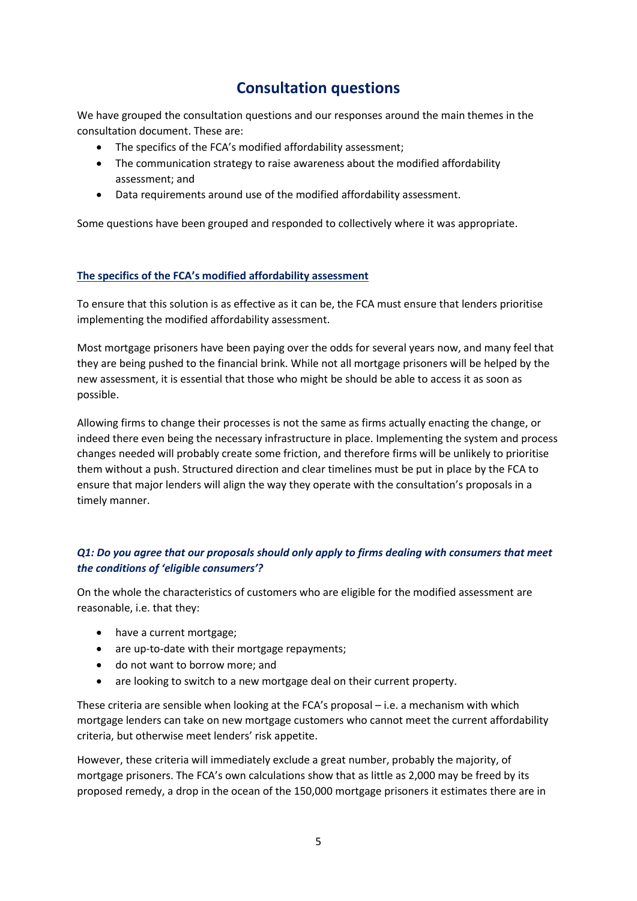# **Consultation questions**

We have grouped the consultation questions and our responses around the main themes in the consultation document. These are:

- The specifics of the FCA's modified affordability assessment:
- The communication strategy to raise awareness about the modified affordability assessment; and
- Data requirements around use of the modified affordability assessment.

Some questions have been grouped and responded to collectively where it was appropriate.

# **The specifics of the FCA's modified affordability assessment**

To ensure that this solution is as effective as it can be, the FCA must ensure that lenders prioritise implementing the modified affordability assessment.

Most mortgage prisoners have been paying over the odds for several years now, and many feel that they are being pushed to the financial brink. While not all mortgage prisoners will be helped by the new assessment, it is essential that those who might be should be able to access it as soon as possible.

Allowing firms to change their processes is not the same as firms actually enacting the change, or indeed there even being the necessary infrastructure in place. Implementing the system and process changes needed will probably create some friction, and therefore firms will be unlikely to prioritise them without a push. Structured direction and clear timelines must be put in place by the FCA to ensure that major lenders will align the way they operate with the consultation's proposals in a timely manner.

# *Q1: Do you agree that our proposals should only apply to firms dealing with consumers that meet the conditions of 'eligible consumers'?*

On the whole the characteristics of customers who are eligible for the modified assessment are reasonable, i.e. that they:

- have a current mortgage;
- are up-to-date with their mortgage repayments;
- do not want to borrow more; and
- are looking to switch to a new mortgage deal on their current property.

These criteria are sensible when looking at the FCA's proposal – i.e. a mechanism with which mortgage lenders can take on new mortgage customers who cannot meet the current affordability criteria, but otherwise meet lenders' risk appetite.

However, these criteria will immediately exclude a great number, probably the majority, of mortgage prisoners. The FCA's own calculations show that as little as 2,000 may be freed by its proposed remedy, a drop in the ocean of the 150,000 mortgage prisoners it estimates there are in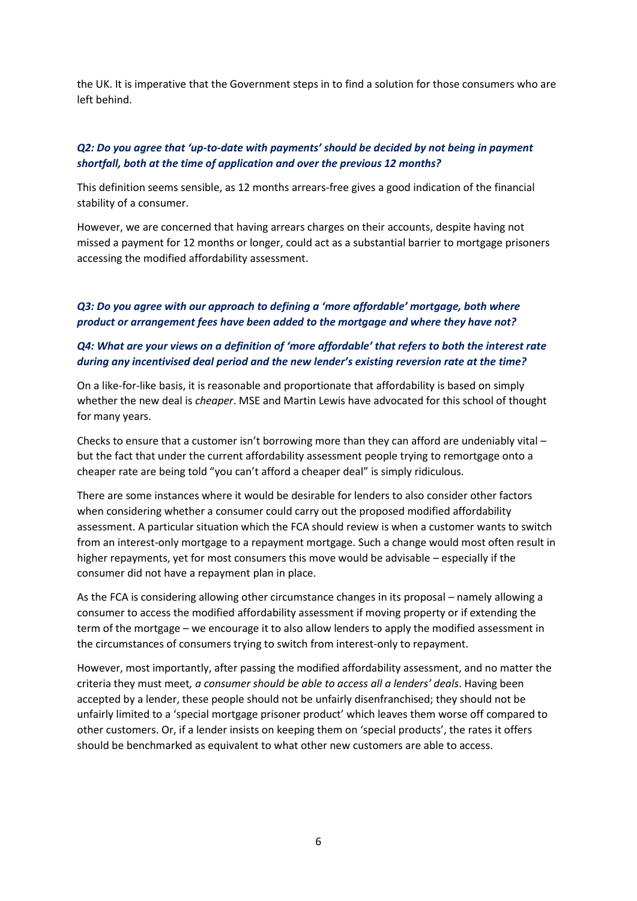the UK. It is imperative that the Government steps in to find a solution for those consumers who are left behind.

## *Q2: Do you agree that 'up-to-date with payments' should be decided by not being in payment shortfall, both at the time of application and over the previous 12 months?*

This definition seems sensible, as 12 months arrears-free gives a good indication of the financial stability of a consumer.

However, we are concerned that having arrears charges on their accounts, despite having not missed a payment for 12 months or longer, could act as a substantial barrier to mortgage prisoners accessing the modified affordability assessment.

## *Q3: Do you agree with our approach to defining a 'more affordable' mortgage, both where product or arrangement fees have been added to the mortgage and where they have not?*

# *Q4: What are your views on a definition of 'more affordable' that refers to both the interest rate during any incentivised deal period and the new lender's existing reversion rate at the time?*

On a like-for-like basis, it is reasonable and proportionate that affordability is based on simply whether the new deal is *cheaper*. MSE and Martin Lewis have advocated for this school of thought for many years.

Checks to ensure that a customer isn't borrowing more than they can afford are undeniably vital – but the fact that under the current affordability assessment people trying to remortgage onto a cheaper rate are being told "you can't afford a cheaper deal" is simply ridiculous.

There are some instances where it would be desirable for lenders to also consider other factors when considering whether a consumer could carry out the proposed modified affordability assessment. A particular situation which the FCA should review is when a customer wants to switch from an interest-only mortgage to a repayment mortgage. Such a change would most often result in higher repayments, yet for most consumers this move would be advisable – especially if the consumer did not have a repayment plan in place.

As the FCA is considering allowing other circumstance changes in its proposal – namely allowing a consumer to access the modified affordability assessment if moving property or if extending the term of the mortgage – we encourage it to also allow lenders to apply the modified assessment in the circumstances of consumers trying to switch from interest-only to repayment.

However, most importantly, after passing the modified affordability assessment, and no matter the criteria they must meet*, a consumer should be able to access all a lenders' deals*. Having been accepted by a lender, these people should not be unfairly disenfranchised; they should not be unfairly limited to a 'special mortgage prisoner product' which leaves them worse off compared to other customers. Or, if a lender insists on keeping them on 'special products', the rates it offers should be benchmarked as equivalent to what other new customers are able to access.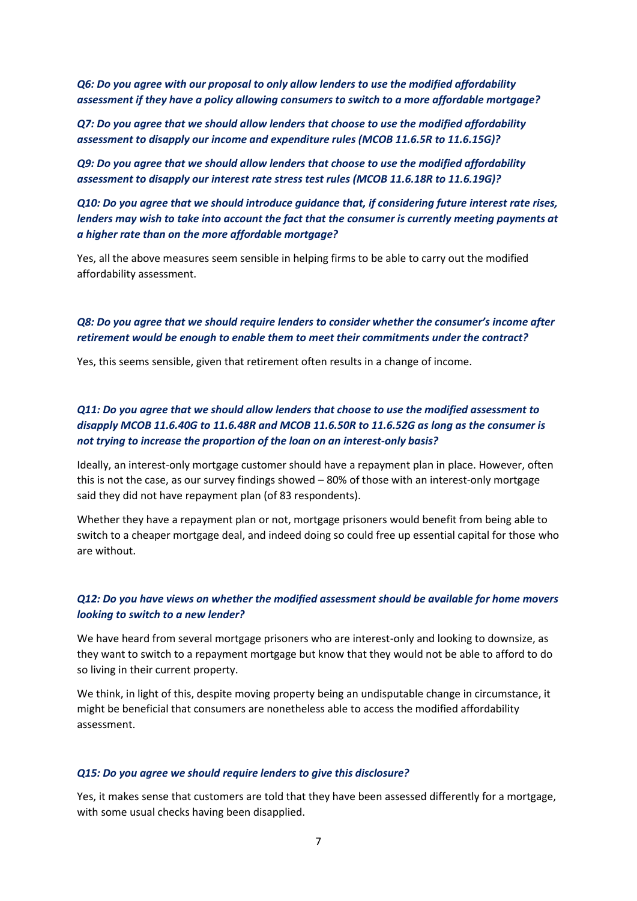*Q6: Do you agree with our proposal to only allow lenders to use the modified affordability assessment if they have a policy allowing consumers to switch to a more affordable mortgage?* 

*Q7: Do you agree that we should allow lenders that choose to use the modified affordability assessment to disapply our income and expenditure rules (MCOB 11.6.5R to 11.6.15G)?* 

*Q9: Do you agree that we should allow lenders that choose to use the modified affordability assessment to disapply our interest rate stress test rules (MCOB 11.6.18R to 11.6.19G)?* 

*Q10: Do you agree that we should introduce guidance that, if considering future interest rate rises, lenders may wish to take into account the fact that the consumer is currently meeting payments at a higher rate than on the more affordable mortgage?* 

Yes, all the above measures seem sensible in helping firms to be able to carry out the modified affordability assessment.

### *Q8: Do you agree that we should require lenders to consider whether the consumer's income after retirement would be enough to enable them to meet their commitments under the contract?*

Yes, this seems sensible, given that retirement often results in a change of income.

# *Q11: Do you agree that we should allow lenders that choose to use the modified assessment to disapply MCOB 11.6.40G to 11.6.48R and MCOB 11.6.50R to 11.6.52G as long as the consumer is not trying to increase the proportion of the loan on an interest-only basis?*

Ideally, an interest-only mortgage customer should have a repayment plan in place. However, often this is not the case, as our survey findings showed – 80% of those with an interest-only mortgage said they did not have repayment plan (of 83 respondents).

Whether they have a repayment plan or not, mortgage prisoners would benefit from being able to switch to a cheaper mortgage deal, and indeed doing so could free up essential capital for those who are without.

## *Q12: Do you have views on whether the modified assessment should be available for home movers looking to switch to a new lender?*

We have heard from several mortgage prisoners who are interest-only and looking to downsize, as they want to switch to a repayment mortgage but know that they would not be able to afford to do so living in their current property.

We think, in light of this, despite moving property being an undisputable change in circumstance, it might be beneficial that consumers are nonetheless able to access the modified affordability assessment.

#### *Q15: Do you agree we should require lenders to give this disclosure?*

Yes, it makes sense that customers are told that they have been assessed differently for a mortgage, with some usual checks having been disapplied.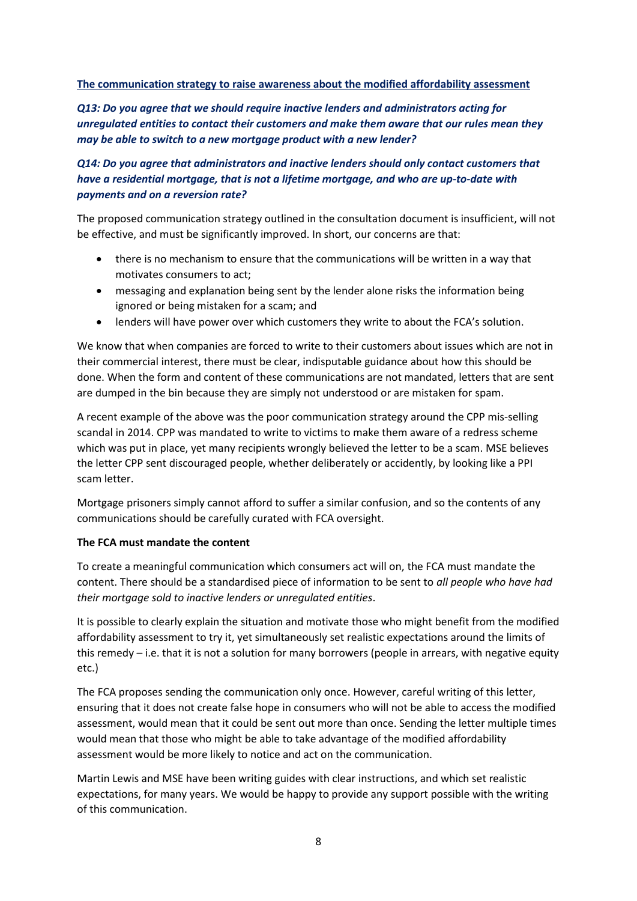#### **The communication strategy to raise awareness about the modified affordability assessment**

*Q13: Do you agree that we should require inactive lenders and administrators acting for unregulated entities to contact their customers and make them aware that our rules mean they may be able to switch to a new mortgage product with a new lender?* 

# *Q14: Do you agree that administrators and inactive lenders should only contact customers that have a residential mortgage, that is not a lifetime mortgage, and who are up-to-date with payments and on a reversion rate?*

The proposed communication strategy outlined in the consultation document is insufficient, will not be effective, and must be significantly improved. In short, our concerns are that:

- there is no mechanism to ensure that the communications will be written in a way that motivates consumers to act;
- messaging and explanation being sent by the lender alone risks the information being ignored or being mistaken for a scam; and
- lenders will have power over which customers they write to about the FCA's solution.

We know that when companies are forced to write to their customers about issues which are not in their commercial interest, there must be clear, indisputable guidance about how this should be done. When the form and content of these communications are not mandated, letters that are sent are dumped in the bin because they are simply not understood or are mistaken for spam.

A recent example of the above was the poor communication strategy around the CPP mis-selling scandal in 2014. CPP was mandated to write to victims to make them aware of a redress scheme which was put in place, yet many recipients wrongly believed the letter to be a scam. MSE believes the letter CPP sent discouraged people, whether deliberately or accidently, by looking like a PPI scam letter.

Mortgage prisoners simply cannot afford to suffer a similar confusion, and so the contents of any communications should be carefully curated with FCA oversight.

#### **The FCA must mandate the content**

To create a meaningful communication which consumers act will on, the FCA must mandate the content. There should be a standardised piece of information to be sent to *all people who have had their mortgage sold to inactive lenders or unregulated entities*.

It is possible to clearly explain the situation and motivate those who might benefit from the modified affordability assessment to try it, yet simultaneously set realistic expectations around the limits of this remedy – i.e. that it is not a solution for many borrowers (people in arrears, with negative equity etc.)

The FCA proposes sending the communication only once. However, careful writing of this letter, ensuring that it does not create false hope in consumers who will not be able to access the modified assessment, would mean that it could be sent out more than once. Sending the letter multiple times would mean that those who might be able to take advantage of the modified affordability assessment would be more likely to notice and act on the communication.

Martin Lewis and MSE have been writing guides with clear instructions, and which set realistic expectations, for many years. We would be happy to provide any support possible with the writing of this communication.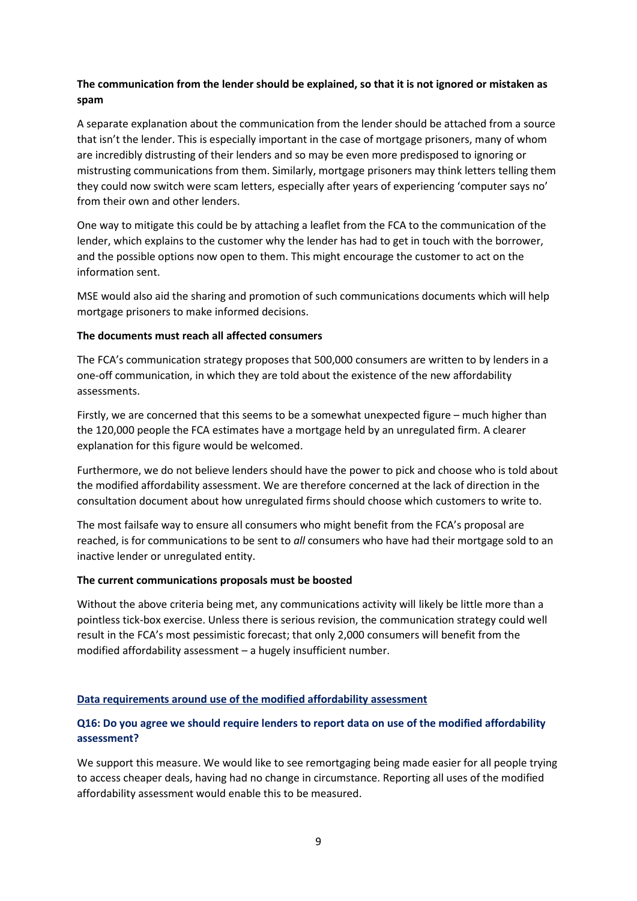# **The communication from the lender should be explained, so that it is not ignored or mistaken as spam**

A separate explanation about the communication from the lender should be attached from a source that isn't the lender. This is especially important in the case of mortgage prisoners, many of whom are incredibly distrusting of their lenders and so may be even more predisposed to ignoring or mistrusting communications from them. Similarly, mortgage prisoners may think letters telling them they could now switch were scam letters, especially after years of experiencing 'computer says no' from their own and other lenders.

One way to mitigate this could be by attaching a leaflet from the FCA to the communication of the lender, which explains to the customer why the lender has had to get in touch with the borrower, and the possible options now open to them. This might encourage the customer to act on the information sent.

MSE would also aid the sharing and promotion of such communications documents which will help mortgage prisoners to make informed decisions.

#### **The documents must reach all affected consumers**

The FCA's communication strategy proposes that 500,000 consumers are written to by lenders in a one-off communication, in which they are told about the existence of the new affordability assessments.

Firstly, we are concerned that this seems to be a somewhat unexpected figure – much higher than the 120,000 people the FCA estimates have a mortgage held by an unregulated firm. A clearer explanation for this figure would be welcomed.

Furthermore, we do not believe lenders should have the power to pick and choose who is told about the modified affordability assessment. We are therefore concerned at the lack of direction in the consultation document about how unregulated firms should choose which customers to write to.

The most failsafe way to ensure all consumers who might benefit from the FCA's proposal are reached, is for communications to be sent to *all* consumers who have had their mortgage sold to an inactive lender or unregulated entity.

#### **The current communications proposals must be boosted**

Without the above criteria being met, any communications activity will likely be little more than a pointless tick-box exercise. Unless there is serious revision, the communication strategy could well result in the FCA's most pessimistic forecast; that only 2,000 consumers will benefit from the modified affordability assessment – a hugely insufficient number.

# **Data requirements around use of the modified affordability assessment**

# **Q16: Do you agree we should require lenders to report data on use of the modified affordability assessment?**

We support this measure. We would like to see remortgaging being made easier for all people trying to access cheaper deals, having had no change in circumstance. Reporting all uses of the modified affordability assessment would enable this to be measured.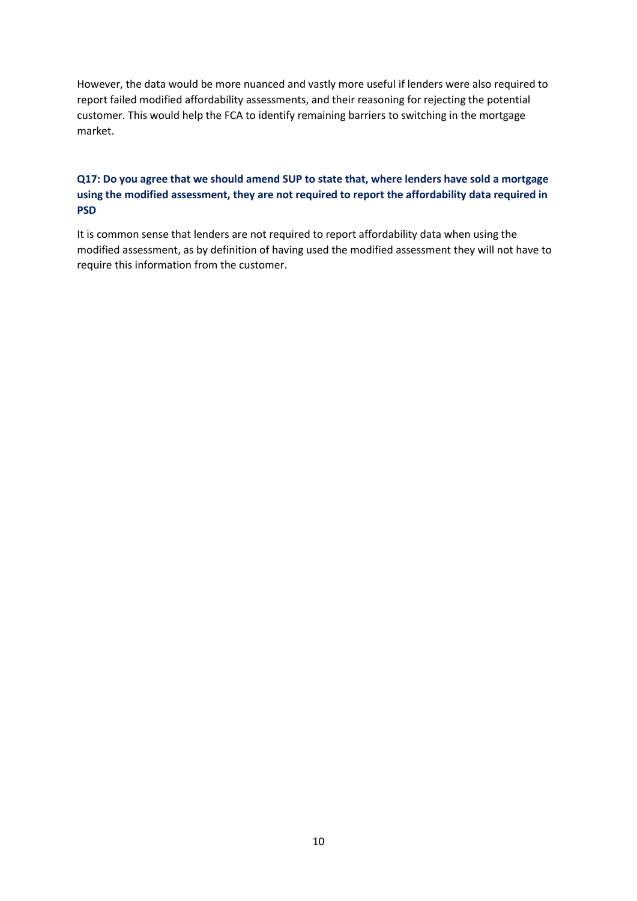However, the data would be more nuanced and vastly more useful if lenders were also required to report failed modified affordability assessments, and their reasoning for rejecting the potential customer. This would help the FCA to identify remaining barriers to switching in the mortgage market.

# **Q17: Do you agree that we should amend SUP to state that, where lenders have sold a mortgage using the modified assessment, they are not required to report the affordability data required in PSD**

It is common sense that lenders are not required to report affordability data when using the modified assessment, as by definition of having used the modified assessment they will not have to require this information from the customer.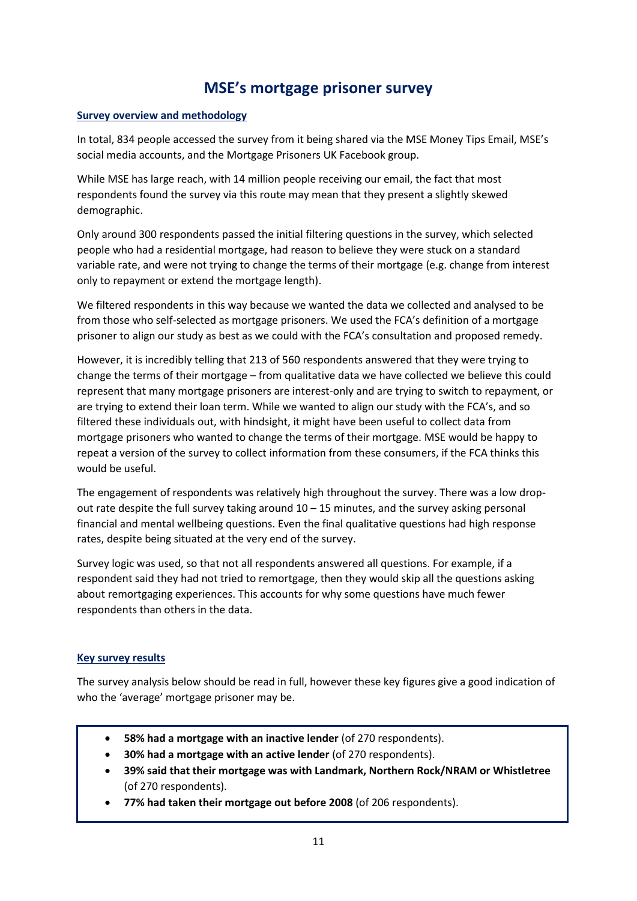# **MSE's mortgage prisoner survey**

## **Survey overview and methodology**

In total, 834 people accessed the survey from it being shared via the MSE Money Tips Email, MSE's social media accounts, and the Mortgage Prisoners UK Facebook group.

While MSE has large reach, with 14 million people receiving our email, the fact that most respondents found the survey via this route may mean that they present a slightly skewed demographic.

Only around 300 respondents passed the initial filtering questions in the survey, which selected people who had a residential mortgage, had reason to believe they were stuck on a standard variable rate, and were not trying to change the terms of their mortgage (e.g. change from interest only to repayment or extend the mortgage length).

We filtered respondents in this way because we wanted the data we collected and analysed to be from those who self-selected as mortgage prisoners. We used the FCA's definition of a mortgage prisoner to align our study as best as we could with the FCA's consultation and proposed remedy.

However, it is incredibly telling that 213 of 560 respondents answered that they were trying to change the terms of their mortgage – from qualitative data we have collected we believe this could represent that many mortgage prisoners are interest-only and are trying to switch to repayment, or are trying to extend their loan term. While we wanted to align our study with the FCA's, and so filtered these individuals out, with hindsight, it might have been useful to collect data from mortgage prisoners who wanted to change the terms of their mortgage. MSE would be happy to repeat a version of the survey to collect information from these consumers, if the FCA thinks this would be useful.

The engagement of respondents was relatively high throughout the survey. There was a low dropout rate despite the full survey taking around 10 – 15 minutes, and the survey asking personal financial and mental wellbeing questions. Even the final qualitative questions had high response rates, despite being situated at the very end of the survey.

Survey logic was used, so that not all respondents answered all questions. For example, if a respondent said they had not tried to remortgage, then they would skip all the questions asking about remortgaging experiences. This accounts for why some questions have much fewer respondents than others in the data.

#### **Key survey results**

The survey analysis below should be read in full, however these key figures give a good indication of who the 'average' mortgage prisoner may be.

- **58% had a mortgage with an inactive lender** (of 270 respondents).
- **30% had a mortgage with an active lender** (of 270 respondents).
- **39% said that their mortgage was with Landmark, Northern Rock/NRAM or Whistletree**  (of 270 respondents).
- **77% had taken their mortgage out before 2008** (of 206 respondents).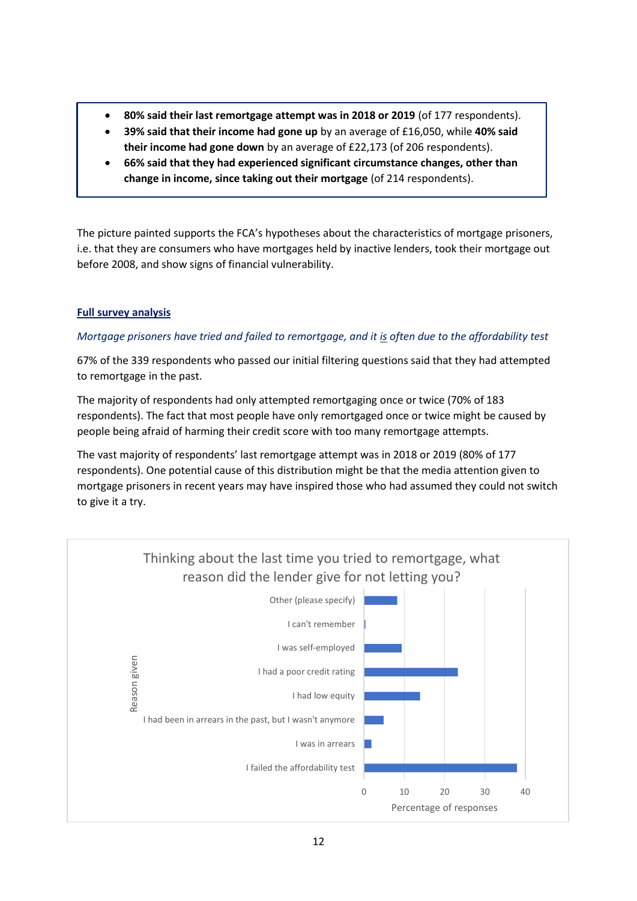- **80% said their last remortgage attempt was in 2018 or 2019** (of 177 respondents).
- **39% said that their income had gone up** by an average of £16,050, while **40% said their income had gone down** by an average of £22,173 (of 206 respondents).
- **66% said that they had experienced significant circumstance changes, other than change in income, since taking out their mortgage** (of 214 respondents).

The picture painted supports the FCA's hypotheses about the characteristics of mortgage prisoners, i.e. that they are consumers who have mortgages held by inactive lenders, took their mortgage out before 2008, and show signs of financial vulnerability.

# **Full survey analysis**

# *Mortgage prisoners have tried and failed to remortgage, and it is often due to the affordability test*

67% of the 339 respondents who passed our initial filtering questions said that they had attempted to remortgage in the past.

The majority of respondents had only attempted remortgaging once or twice (70% of 183 respondents). The fact that most people have only remortgaged once or twice might be caused by people being afraid of harming their credit score with too many remortgage attempts.

The vast majority of respondents' last remortgage attempt was in 2018 or 2019 (80% of 177 respondents). One potential cause of this distribution might be that the media attention given to mortgage prisoners in recent years may have inspired those who had assumed they could not switch to give it a try.

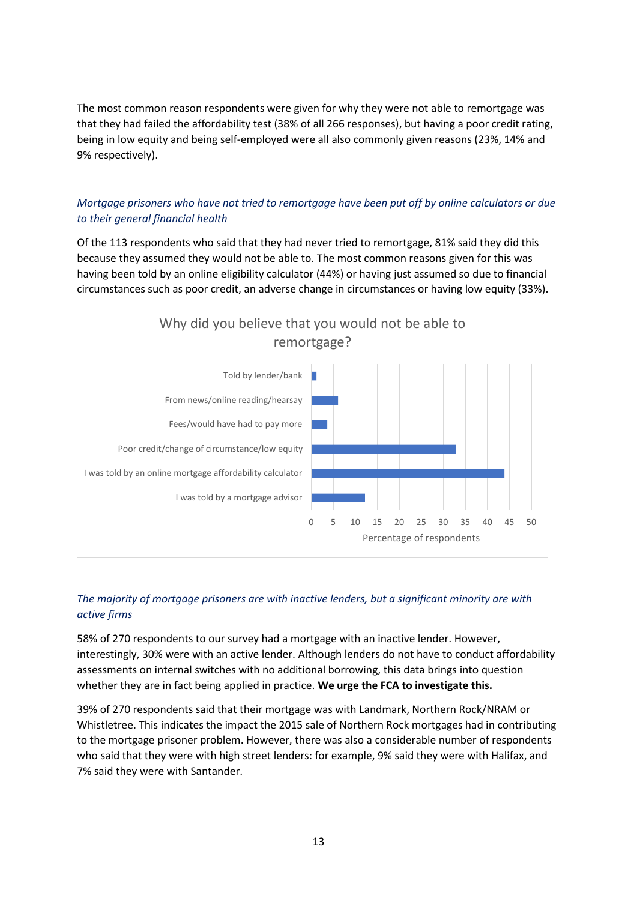The most common reason respondents were given for why they were not able to remortgage was that they had failed the affordability test (38% of all 266 responses), but having a poor credit rating, being in low equity and being self-employed were all also commonly given reasons (23%, 14% and 9% respectively).

# *Mortgage prisoners who have not tried to remortgage have been put off by online calculators or due to their general financial health*

Of the 113 respondents who said that they had never tried to remortgage, 81% said they did this because they assumed they would not be able to. The most common reasons given for this was having been told by an online eligibility calculator (44%) or having just assumed so due to financial circumstances such as poor credit, an adverse change in circumstances or having low equity (33%).



# *The majority of mortgage prisoners are with inactive lenders, but a significant minority are with active firms*

58% of 270 respondents to our survey had a mortgage with an inactive lender. However, interestingly, 30% were with an active lender. Although lenders do not have to conduct affordability assessments on internal switches with no additional borrowing, this data brings into question whether they are in fact being applied in practice. **We urge the FCA to investigate this.**

39% of 270 respondents said that their mortgage was with Landmark, Northern Rock/NRAM or Whistletree. This indicates the impact the 2015 sale of Northern Rock mortgages had in contributing to the mortgage prisoner problem. However, there was also a considerable number of respondents who said that they were with high street lenders: for example, 9% said they were with Halifax, and 7% said they were with Santander.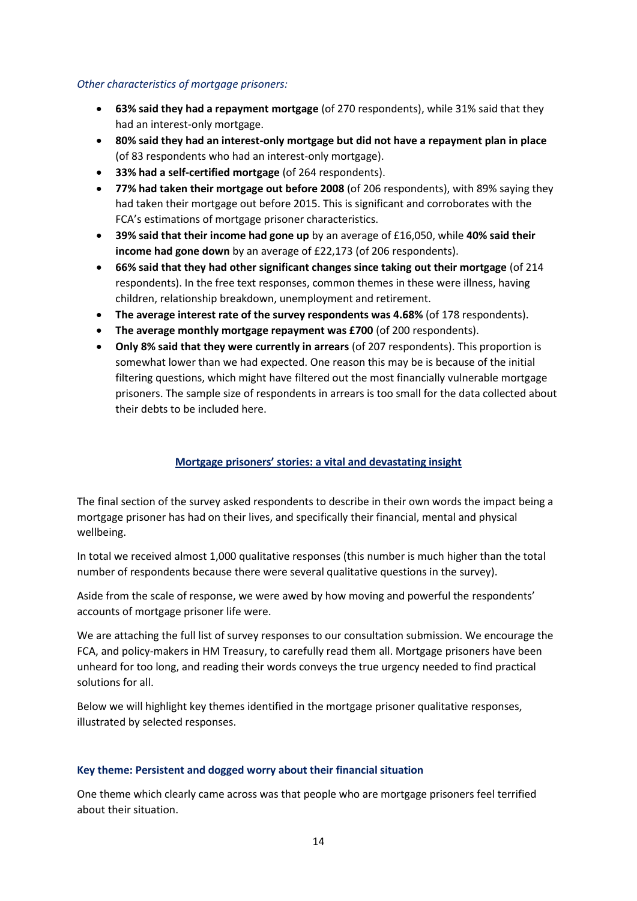#### *Other characteristics of mortgage prisoners:*

- **63% said they had a repayment mortgage** (of 270 respondents), while 31% said that they had an interest-only mortgage.
- **80% said they had an interest-only mortgage but did not have a repayment plan in place** (of 83 respondents who had an interest-only mortgage).
- **33% had a self-certified mortgage** (of 264 respondents).
- **77% had taken their mortgage out before 2008** (of 206 respondents), with 89% saying they had taken their mortgage out before 2015. This is significant and corroborates with the FCA's estimations of mortgage prisoner characteristics.
- **39% said that their income had gone up** by an average of £16,050, while **40% said their income had gone down** by an average of £22,173 (of 206 respondents).
- **66% said that they had other significant changes since taking out their mortgage** (of 214 respondents). In the free text responses, common themes in these were illness, having children, relationship breakdown, unemployment and retirement.
- **The average interest rate of the survey respondents was 4.68%** (of 178 respondents).
- **The average monthly mortgage repayment was £700** (of 200 respondents).
- **Only 8% said that they were currently in arrears** (of 207 respondents). This proportion is somewhat lower than we had expected. One reason this may be is because of the initial filtering questions, which might have filtered out the most financially vulnerable mortgage prisoners. The sample size of respondents in arrears is too small for the data collected about their debts to be included here.

# **Mortgage prisoners' stories: a vital and devastating insight**

The final section of the survey asked respondents to describe in their own words the impact being a mortgage prisoner has had on their lives, and specifically their financial, mental and physical wellbeing.

In total we received almost 1,000 qualitative responses (this number is much higher than the total number of respondents because there were several qualitative questions in the survey).

Aside from the scale of response, we were awed by how moving and powerful the respondents' accounts of mortgage prisoner life were.

We are attaching the full list of survey responses to our consultation submission. We encourage the FCA, and policy-makers in HM Treasury, to carefully read them all. Mortgage prisoners have been unheard for too long, and reading their words conveys the true urgency needed to find practical solutions for all.

Below we will highlight key themes identified in the mortgage prisoner qualitative responses, illustrated by selected responses.

#### **Key theme: Persistent and dogged worry about their financial situation**

One theme which clearly came across was that people who are mortgage prisoners feel terrified about their situation.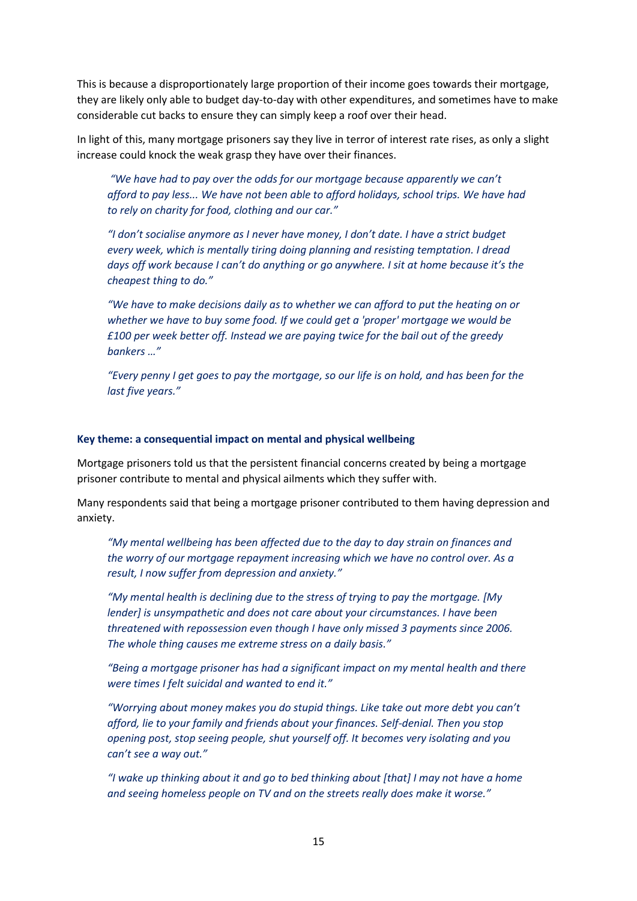This is because a disproportionately large proportion of their income goes towards their mortgage, they are likely only able to budget day-to-day with other expenditures, and sometimes have to make considerable cut backs to ensure they can simply keep a roof over their head.

In light of this, many mortgage prisoners say they live in terror of interest rate rises, as only a slight increase could knock the weak grasp they have over their finances.

*"We have had to pay over the odds for our mortgage because apparently we can't afford to pay less... We have not been able to afford holidays, school trips. We have had to rely on charity for food, clothing and our car."*

*"I don't socialise anymore as I never have money, I don't date. I have a strict budget every week, which is mentally tiring doing planning and resisting temptation. I dread days off work because I can't do anything or go anywhere. I sit at home because it's the cheapest thing to do."*

*"We have to make decisions daily as to whether we can afford to put the heating on or whether we have to buy some food. If we could get a 'proper' mortgage we would be £100 per week better off. Instead we are paying twice for the bail out of the greedy bankers …"*

*"Every penny I get goes to pay the mortgage, so our life is on hold, and has been for the last five years."*

#### **Key theme: a consequential impact on mental and physical wellbeing**

Mortgage prisoners told us that the persistent financial concerns created by being a mortgage prisoner contribute to mental and physical ailments which they suffer with.

Many respondents said that being a mortgage prisoner contributed to them having depression and anxiety.

*"My mental wellbeing has been affected due to the day to day strain on finances and the worry of our mortgage repayment increasing which we have no control over. As a result, I now suffer from depression and anxiety."*

*"My mental health is declining due to the stress of trying to pay the mortgage. [My lender] is unsympathetic and does not care about your circumstances. I have been threatened with repossession even though I have only missed 3 payments since 2006. The whole thing causes me extreme stress on a daily basis."*

*"Being a mortgage prisoner has had a significant impact on my mental health and there were times I felt suicidal and wanted to end it."*

*"Worrying about money makes you do stupid things. Like take out more debt you can't afford, lie to your family and friends about your finances. Self-denial. Then you stop opening post, stop seeing people, shut yourself off. It becomes very isolating and you can't see a way out."*

*"I wake up thinking about it and go to bed thinking about [that] I may not have a home and seeing homeless people on TV and on the streets really does make it worse."*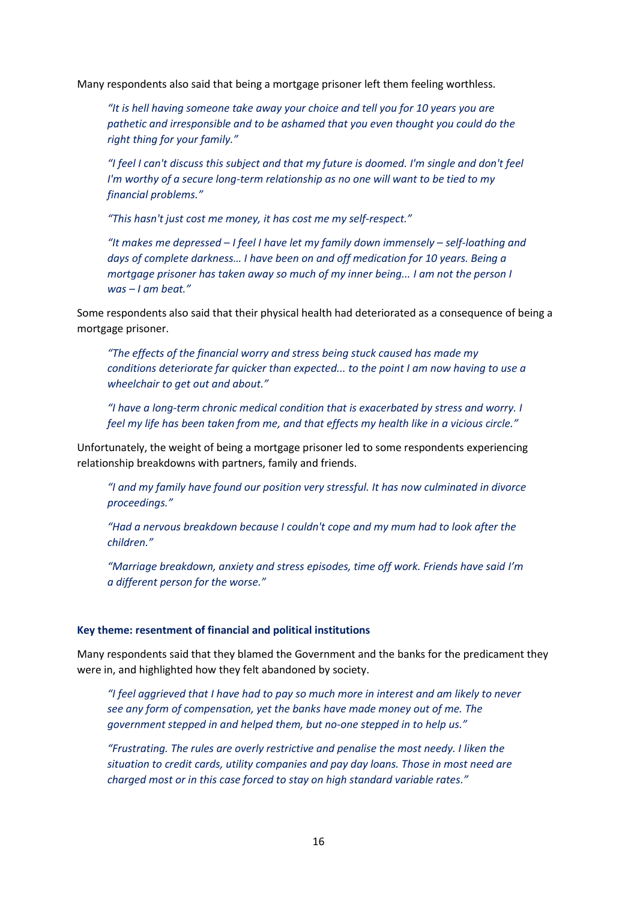Many respondents also said that being a mortgage prisoner left them feeling worthless.

*"It is hell having someone take away your choice and tell you for 10 years you are pathetic and irresponsible and to be ashamed that you even thought you could do the right thing for your family."*

*"I feel I can't discuss this subject and that my future is doomed. I'm single and don't feel I'm worthy of a secure long-term relationship as no one will want to be tied to my financial problems."*

*"This hasn't just cost me money, it has cost me my self-respect."*

*"It makes me depressed – I feel I have let my family down immensely – self-loathing and days of complete darkness… I have been on and off medication for 10 years. Being a mortgage prisoner has taken away so much of my inner being... I am not the person I was – I am beat."*

Some respondents also said that their physical health had deteriorated as a consequence of being a mortgage prisoner.

*"The effects of the financial worry and stress being stuck caused has made my conditions deteriorate far quicker than expected... to the point I am now having to use a wheelchair to get out and about."*

*"I have a long-term chronic medical condition that is exacerbated by stress and worry. I feel my life has been taken from me, and that effects my health like in a vicious circle."*

Unfortunately, the weight of being a mortgage prisoner led to some respondents experiencing relationship breakdowns with partners, family and friends.

*"I and my family have found our position very stressful. It has now culminated in divorce proceedings."*

*"Had a nervous breakdown because I couldn't cope and my mum had to look after the children."*

*"Marriage breakdown, anxiety and stress episodes, time off work. Friends have said I'm a different person for the worse."*

#### **Key theme: resentment of financial and political institutions**

Many respondents said that they blamed the Government and the banks for the predicament they were in, and highlighted how they felt abandoned by society.

*"I feel aggrieved that I have had to pay so much more in interest and am likely to never see any form of compensation, yet the banks have made money out of me. The government stepped in and helped them, but no-one stepped in to help us."*

*"Frustrating. The rules are overly restrictive and penalise the most needy. I liken the situation to credit cards, utility companies and pay day loans. Those in most need are charged most or in this case forced to stay on high standard variable rates."*